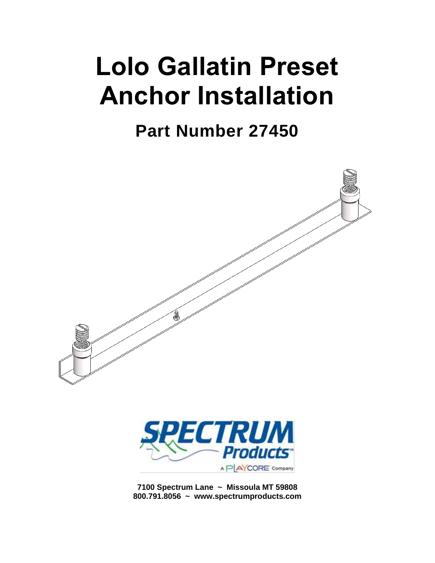# **Lolo Gallatin Preset Anchor Installation**

**Part Number 27450**



**7100 Spectrum Lane ~ Missoula MT 59808 800.791.8056 ~ www.spectrumproducts.com**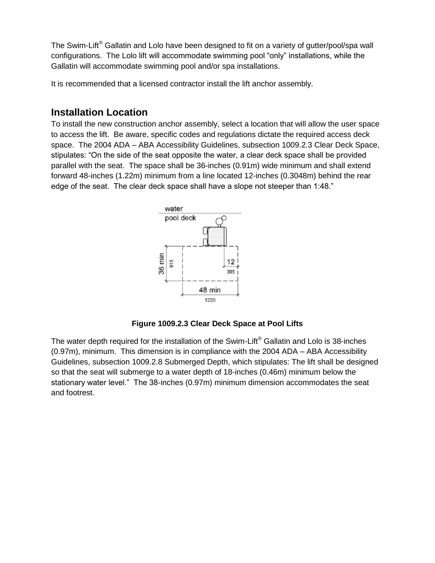The Swim-Lift<sup>®</sup> Gallatin and Lolo have been designed to fit on a variety of gutter/pool/spa wall configurations. The Lolo lift will accommodate swimming pool "only" installations, while the Gallatin will accommodate swimming pool and/or spa installations.

It is recommended that a licensed contractor install the lift anchor assembly.

### **Installation Location**

To install the new construction anchor assembly, select a location that will allow the user space to access the lift. Be aware, specific codes and regulations dictate the required access deck space. The 2004 ADA – ABA Accessibility Guidelines, subsection 1009.2.3 Clear Deck Space, stipulates: "On the side of the seat opposite the water, a clear deck space shall be provided parallel with the seat. The space shall be 36-inches (0.91m) wide minimum and shall extend forward 48-inches (1.22m) minimum from a line located 12-inches (0.3048m) behind the rear edge of the seat. The clear deck space shall have a slope not steeper than 1:48."



**Figure 1009.2.3 Clear Deck Space at Pool Lifts**

The water depth required for the installation of the Swim-Lift<sup>®</sup> Gallatin and Lolo is 38-inches (0.97m), minimum. This dimension is in compliance with the 2004 ADA – ABA Accessibility Guidelines, subsection 1009.2.8 Submerged Depth, which stipulates: The lift shall be designed so that the seat will submerge to a water depth of 18-inches (0.46m) minimum below the stationary water level." The 38-inches (0.97m) minimum dimension accommodates the seat and footrest.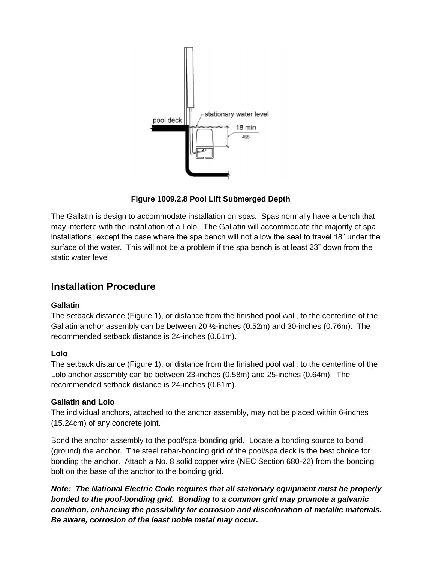

**Figure 1009.2.8 Pool Lift Submerged Depth**

The Gallatin is design to accommodate installation on spas. Spas normally have a bench that may interfere with the installation of a Lolo. The Gallatin will accommodate the majority of spa installations; except the case where the spa bench will not allow the seat to travel 18" under the surface of the water. This will not be a problem if the spa bench is at least 23" down from the static water level.

## **Installation Procedure**

#### **Gallatin**

The setback distance (Figure 1), or distance from the finished pool wall, to the centerline of the Gallatin anchor assembly can be between 20 ½-inches (0.52m) and 30-inches (0.76m). The recommended setback distance is 24-inches (0.61m).

#### **Lolo**

The setback distance (Figure 1), or distance from the finished pool wall, to the centerline of the Lolo anchor assembly can be between 23-inches (0.58m) and 25-inches (0.64m). The recommended setback distance is 24-inches (0.61m).

#### **Gallatin and Lolo**

The individual anchors, attached to the anchor assembly, may not be placed within 6-inches (15.24cm) of any concrete joint.

Bond the anchor assembly to the pool/spa-bonding grid. Locate a bonding source to bond (ground) the anchor. The steel rebar-bonding grid of the pool/spa deck is the best choice for bonding the anchor. Attach a No. 8 solid copper wire (NEC Section 680-22) from the bonding bolt on the base of the anchor to the bonding grid.

*Note: The National Electric Code requires that all stationary equipment must be properly bonded to the pool-bonding grid. Bonding to a common grid may promote a galvanic condition, enhancing the possibility for corrosion and discoloration of metallic materials. Be aware, corrosion of the least noble metal may occur.*